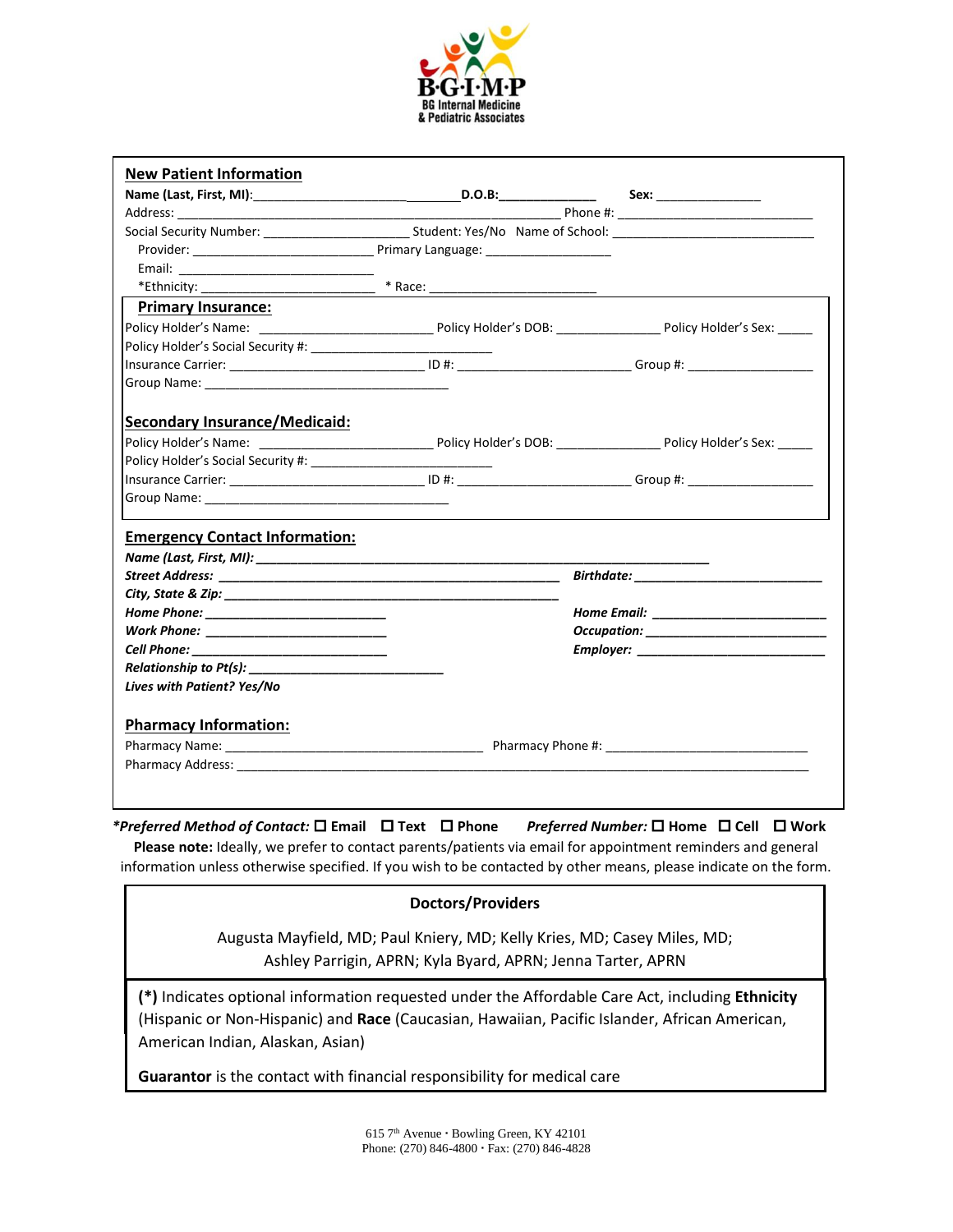

| <b>New Patient Information</b>                                             |  |                                  |  |
|----------------------------------------------------------------------------|--|----------------------------------|--|
|                                                                            |  |                                  |  |
|                                                                            |  |                                  |  |
|                                                                            |  |                                  |  |
|                                                                            |  |                                  |  |
|                                                                            |  |                                  |  |
|                                                                            |  |                                  |  |
| <b>Primary Insurance:</b>                                                  |  |                                  |  |
|                                                                            |  |                                  |  |
|                                                                            |  |                                  |  |
|                                                                            |  |                                  |  |
|                                                                            |  |                                  |  |
|                                                                            |  |                                  |  |
| <b>Secondary Insurance/Medicaid:</b>                                       |  |                                  |  |
|                                                                            |  |                                  |  |
|                                                                            |  |                                  |  |
|                                                                            |  |                                  |  |
|                                                                            |  |                                  |  |
|                                                                            |  |                                  |  |
| <b>Emergency Contact Information:</b>                                      |  |                                  |  |
|                                                                            |  |                                  |  |
|                                                                            |  | Birthdate: _____________________ |  |
|                                                                            |  |                                  |  |
| Work Phone: __________________________                                     |  |                                  |  |
| Cell Phone: ___________________________                                    |  |                                  |  |
| $\mathsf{Relationship}\; \mathsf{to}\; \mathsf{Pt}(\mathsf{s}) \mathsf{:}$ |  |                                  |  |
| Lives with Patient? Yes/No                                                 |  |                                  |  |
|                                                                            |  |                                  |  |
| <b>Pharmacy Information:</b>                                               |  |                                  |  |
|                                                                            |  |                                  |  |
|                                                                            |  |                                  |  |

*\*Preferred Method of Contact:*  **Email Text Phone** *Preferred Number:*  **Home Cell Work**

**Please note:** Ideally, we prefer to contact parents/patients via email for appointment reminders and general information unless otherwise specified. If you wish to be contacted by other means, please indicate on the form.

### **Doctors/Providers**

Augusta Mayfield, MD; Paul Kniery, MD; Kelly Kries, MD; Casey Miles, MD; Ashley Parrigin, APRN; Kyla Byard, APRN; Jenna Tarter, APRN

**(\*)** Indicates optional information requested under the Affordable Care Act, including **Ethnicity** (Hispanic or Non-Hispanic) and **Race** (Caucasian, Hawaiian, Pacific Islander, African American, American Indian, Alaskan, Asian)

**Guarantor** is the contact with financial responsibility for medical care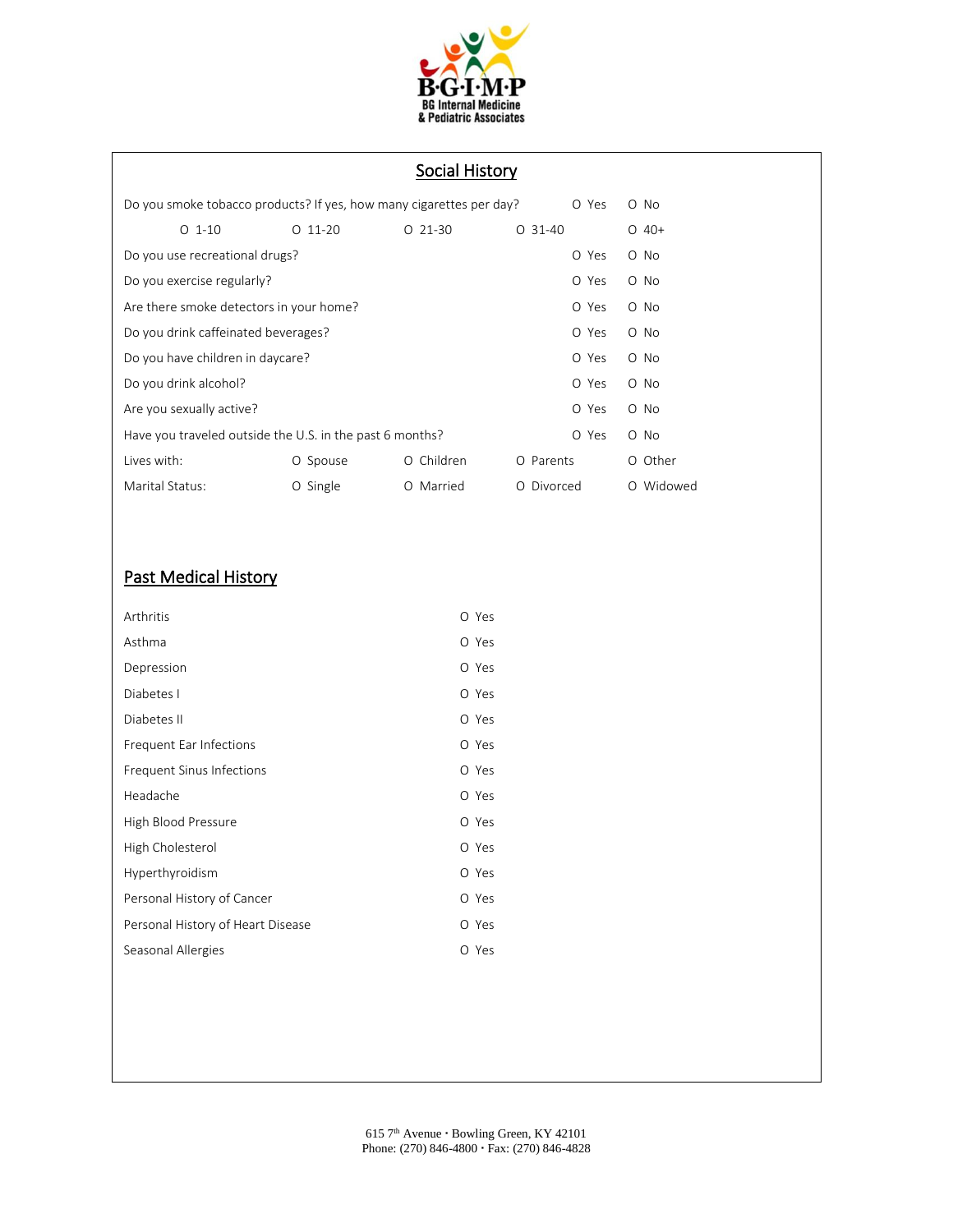

# Social History

| Do you smoke tobacco products? If yes, how many cigarettes per day?<br>O Yes |                                |           |              | O No          |       |           |
|------------------------------------------------------------------------------|--------------------------------|-----------|--------------|---------------|-------|-----------|
|                                                                              | $O_1 - 10$                     | $O$ 11-20 | $O$ 21-30    | $O$ 31-40     |       | $O$ 40+   |
|                                                                              | Do you use recreational drugs? |           |              |               | O Yes | O No      |
| Do you exercise regularly?<br>O Yes                                          |                                |           |              |               | O No  |           |
| Are there smoke detectors in your home?<br>O Yes                             |                                |           |              |               | O No  |           |
| Do you drink caffeinated beverages?<br>O Yes                                 |                                |           |              |               | O No  |           |
| Do you have children in daycare?                                             |                                |           |              | O Yes         | O No  |           |
| Do you drink alcohol?                                                        |                                |           |              | O Yes         | O No  |           |
| Are you sexually active?<br>O Yes                                            |                                |           |              | O No          |       |           |
| Have you traveled outside the U.S. in the past 6 months?<br>O Yes            |                                |           |              | O No          |       |           |
| Lives with:                                                                  |                                | O Spouse  | O Children   | O Parents     |       | O Other   |
| Marital Status:                                                              |                                | O Single  | Married<br>Ο | Divorced<br>Ω |       | O Widowed |

# Past Medical History

| Arthritis                         | O Yes |  |
|-----------------------------------|-------|--|
| Asthma                            | O Yes |  |
| Depression                        | O Yes |  |
| Diabetes I                        | O Yes |  |
| Diabetes II                       | O Yes |  |
| Frequent Ear Infections           | O Yes |  |
| Frequent Sinus Infections         | O Yes |  |
| Headache                          | O Yes |  |
| High Blood Pressure               | O Yes |  |
| High Cholesterol                  | O Yes |  |
| Hyperthyroidism                   | O Yes |  |
| Personal History of Cancer        | O Yes |  |
| Personal History of Heart Disease | O Yes |  |
| Seasonal Allergies                | O Yes |  |
|                                   |       |  |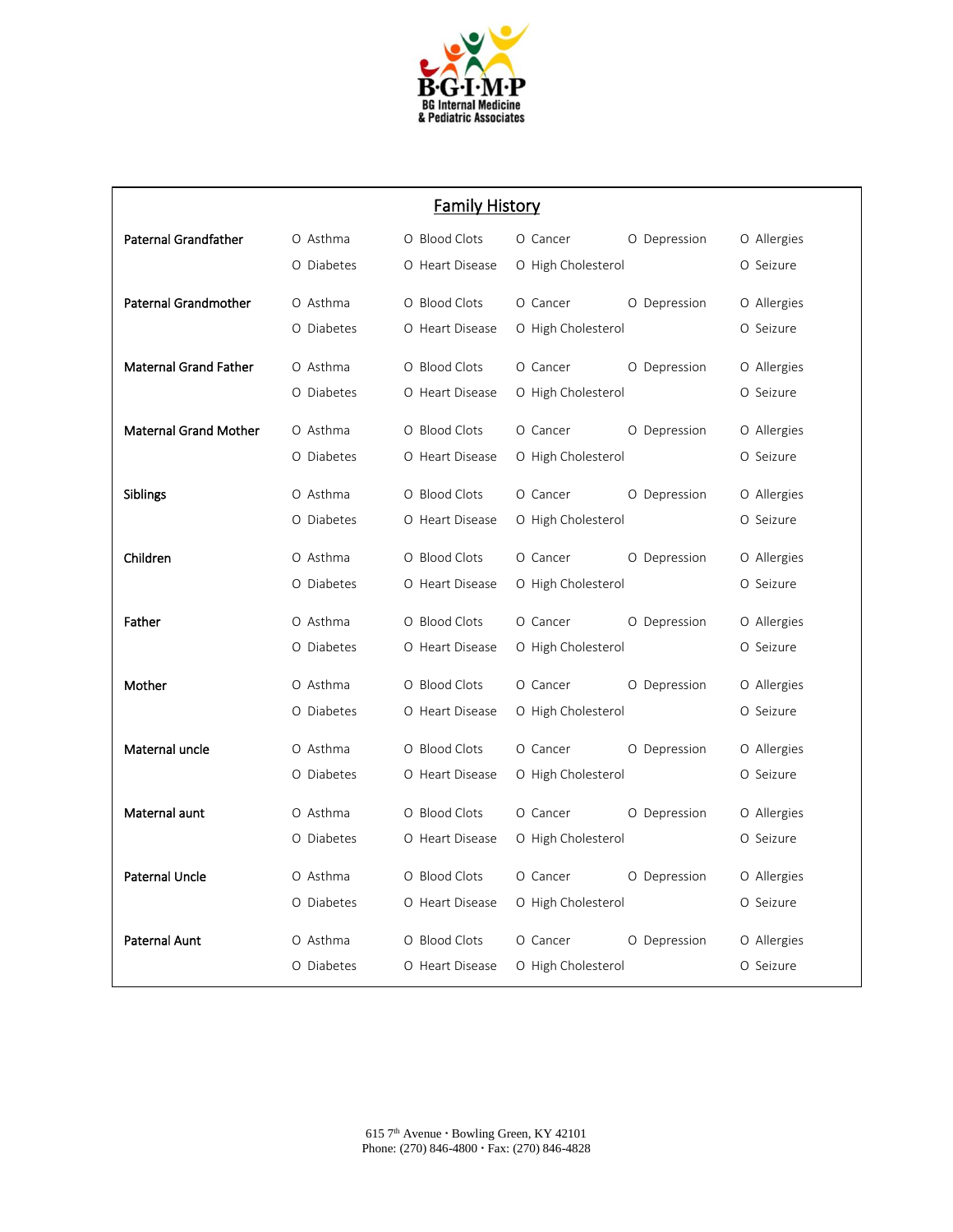

| <b>Family History</b>        |            |                 |                          |             |  |
|------------------------------|------------|-----------------|--------------------------|-------------|--|
| <b>Paternal Grandfather</b>  | O Asthma   | O Blood Clots   | O Cancer<br>O Depression | O Allergies |  |
|                              | O Diabetes | O Heart Disease | O High Cholesterol       | O Seizure   |  |
| <b>Paternal Grandmother</b>  | O Asthma   | O Blood Clots   | O Cancer<br>O Depression | O Allergies |  |
|                              | O Diabetes | O Heart Disease | O High Cholesterol       | O Seizure   |  |
| <b>Maternal Grand Father</b> | O Asthma   | O Blood Clots   | O Cancer<br>O Depression | O Allergies |  |
|                              | O Diabetes | O Heart Disease | O High Cholesterol       | O Seizure   |  |
|                              |            |                 |                          |             |  |
| <b>Maternal Grand Mother</b> | O Asthma   | O Blood Clots   | O Cancer<br>O Depression | O Allergies |  |
|                              | O Diabetes | O Heart Disease | O High Cholesterol       | O Seizure   |  |
| <b>Siblings</b>              | O Asthma   | O Blood Clots   | O Cancer<br>O Depression | O Allergies |  |
|                              | O Diabetes | O Heart Disease | O High Cholesterol       | O Seizure   |  |
| Children                     | O Asthma   | O Blood Clots   | O Cancer<br>O Depression | O Allergies |  |
|                              | O Diabetes | O Heart Disease | O High Cholesterol       | O Seizure   |  |
| Father                       | O Asthma   | O Blood Clots   | O Cancer<br>O Depression | O Allergies |  |
|                              | O Diabetes | O Heart Disease | O High Cholesterol       | O Seizure   |  |
| Mother                       | O Asthma   | O Blood Clots   | O Cancer<br>O Depression | O Allergies |  |
|                              | O Diabetes | O Heart Disease | O High Cholesterol       | O Seizure   |  |
|                              |            |                 |                          |             |  |
| Maternal uncle               | O Asthma   | O Blood Clots   | O Cancer<br>O Depression | O Allergies |  |
|                              | O Diabetes | O Heart Disease | O High Cholesterol       | O Seizure   |  |
| Maternal aunt                | O Asthma   | O Blood Clots   | O Cancer<br>O Depression | O Allergies |  |
|                              | O Diabetes | O Heart Disease | O High Cholesterol       | O Seizure   |  |
| <b>Paternal Uncle</b>        | O Asthma   | O Blood Clots   | O Cancer<br>O Depression | O Allergies |  |
|                              | O Diabetes | O Heart Disease | O High Cholesterol       | O Seizure   |  |
|                              |            |                 |                          |             |  |
| Paternal Aunt                | O Asthma   | O Blood Clots   | O Cancer<br>O Depression | O Allergies |  |
|                              | O Diabetes | O Heart Disease | O High Cholesterol       | O Seizure   |  |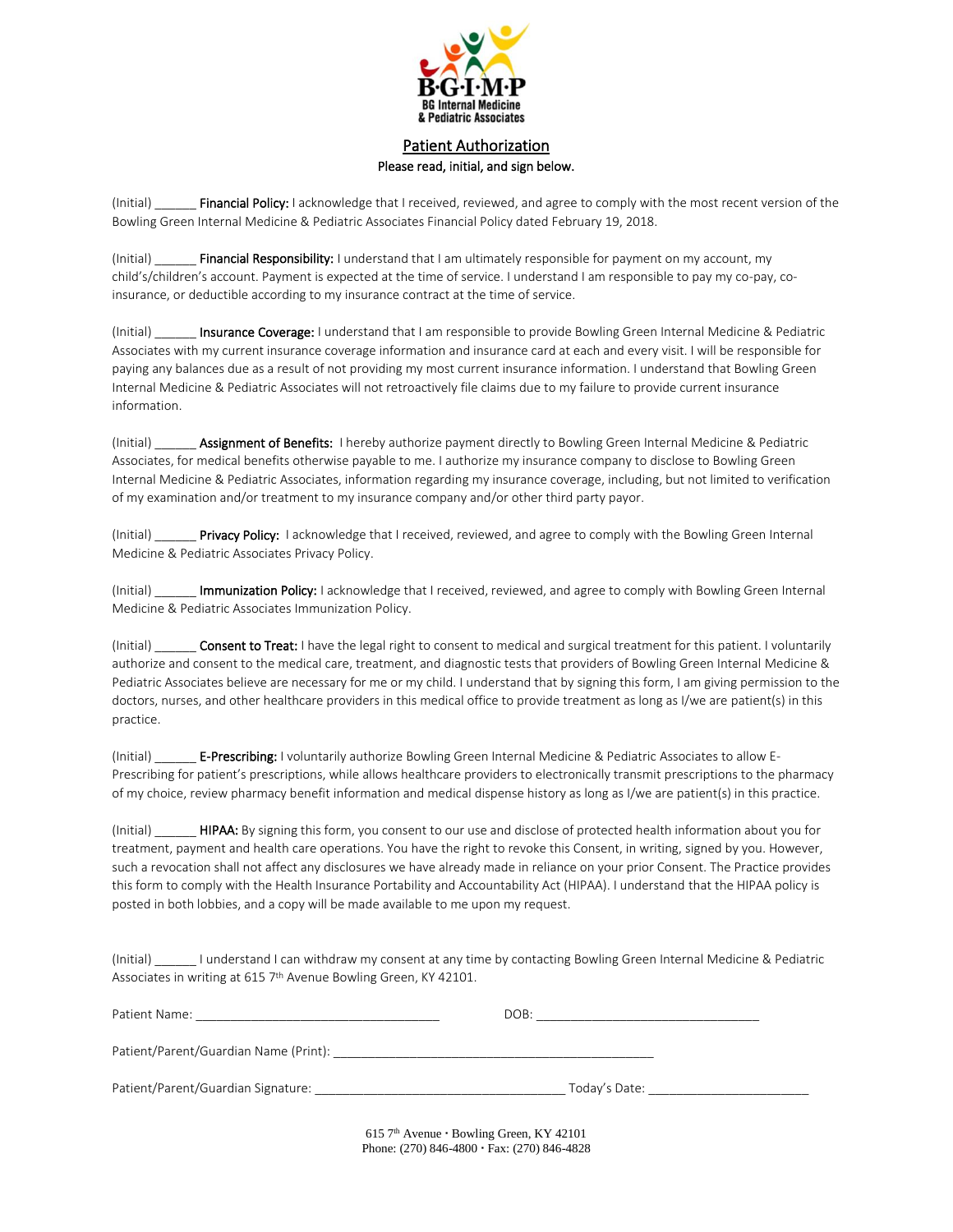

## Patient Authorization Please read, initial, and sign below.

(Initial) \_\_\_\_\_\_ Financial Policy: I acknowledge that I received, reviewed, and agree to comply with the most recent version of the Bowling Green Internal Medicine & Pediatric Associates Financial Policy dated February 19, 2018.

(Initial) **Financial Responsibility:** I understand that I am ultimately responsible for payment on my account, my child's/children's account. Payment is expected at the time of service. I understand I am responsible to pay my co-pay, coinsurance, or deductible according to my insurance contract at the time of service.

(Initial) **Insurance Coverage:** I understand that I am responsible to provide Bowling Green Internal Medicine & Pediatric Associates with my current insurance coverage information and insurance card at each and every visit. I will be responsible for paying any balances due as a result of not providing my most current insurance information. I understand that Bowling Green Internal Medicine & Pediatric Associates will not retroactively file claims due to my failure to provide current insurance information.

(Initial) **Assignment of Benefits:** I hereby authorize payment directly to Bowling Green Internal Medicine & Pediatric Associates, for medical benefits otherwise payable to me. I authorize my insurance company to disclose to Bowling Green Internal Medicine & Pediatric Associates, information regarding my insurance coverage, including, but not limited to verification of my examination and/or treatment to my insurance company and/or other third party payor.

(Initial) **Privacy Policy:** I acknowledge that I received, reviewed, and agree to comply with the Bowling Green Internal Medicine & Pediatric Associates Privacy Policy.

(Initial) \_\_\_\_\_\_ Immunization Policy: I acknowledge that I received, reviewed, and agree to comply with Bowling Green Internal Medicine & Pediatric Associates Immunization Policy.

(Initial) **Consent to Treat:** I have the legal right to consent to medical and surgical treatment for this patient. I voluntarily authorize and consent to the medical care, treatment, and diagnostic tests that providers of Bowling Green Internal Medicine & Pediatric Associates believe are necessary for me or my child. I understand that by signing this form, I am giving permission to the doctors, nurses, and other healthcare providers in this medical office to provide treatment as long as I/we are patient(s) in this practice.

(Initial) **E-Prescribing:** I voluntarily authorize Bowling Green Internal Medicine & Pediatric Associates to allow E-Prescribing for patient's prescriptions, while allows healthcare providers to electronically transmit prescriptions to the pharmacy of my choice, review pharmacy benefit information and medical dispense history as long as I/we are patient(s) in this practice.

(Initial) **HIPAA:** By signing this form, you consent to our use and disclose of protected health information about you for treatment, payment and health care operations. You have the right to revoke this Consent, in writing, signed by you. However, such a revocation shall not affect any disclosures we have already made in reliance on your prior Consent. The Practice provides this form to comply with the Health Insurance Portability and Accountability Act (HIPAA). I understand that the HIPAA policy is posted in both lobbies, and a copy will be made available to me upon my request.

(Initial) \_\_\_\_\_\_ I understand I can withdraw my consent at any time by contacting Bowling Green Internal Medicine & Pediatric Associates in writing at 615 7<sup>th</sup> Avenue Bowling Green, KY 42101.

| Patient Name:                         | DOB:          |  |
|---------------------------------------|---------------|--|
| Patient/Parent/Guardian Name (Print): |               |  |
| Patient/Parent/Guardian Signature:    | Today's Date: |  |

 $615$  7<sup>th</sup> Avenue  $\cdot$  Bowling Green, KY 42101 Phone: (270) 846-4800 · Fax: (270) 846-4828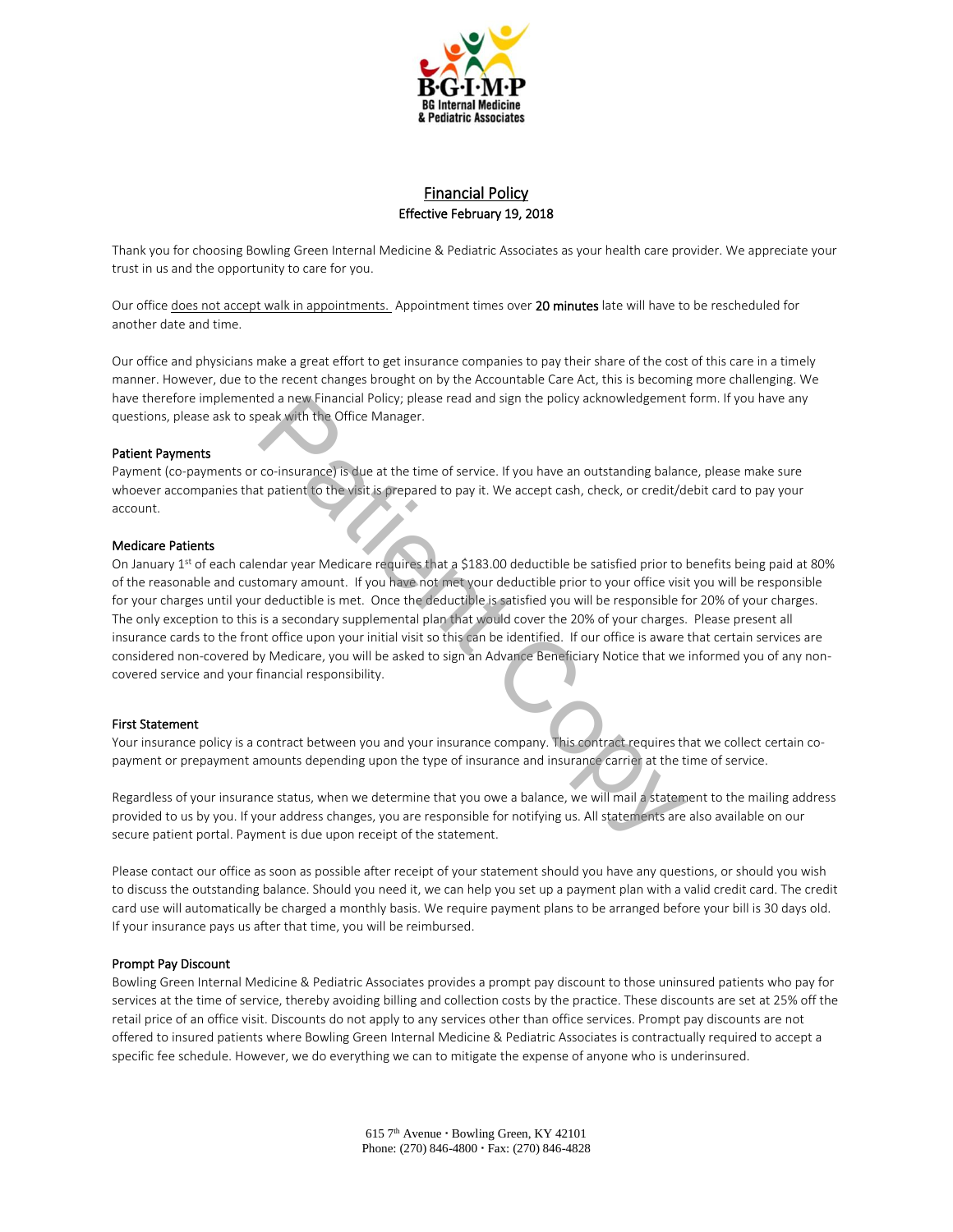

### Financial Policy Effective February 19, 2018

Thank you for choosing Bowling Green Internal Medicine & Pediatric Associates as your health care provider. We appreciate your trust in us and the opportunity to care for you.

Our office does not accept walk in appointments. Appointment times over 20 minutes late will have to be rescheduled for another date and time.

Our office and physicians make a great effort to get insurance companies to pay their share of the cost of this care in a timely manner. However, due to the recent changes brought on by the Accountable Care Act, this is becoming more challenging. We have therefore implemented a new Financial Policy; please read and sign the policy acknowledgement form. If you have any questions, please ask to speak with the Office Manager.

#### Patient Payments

Payment (co-payments or co-insurance) is due at the time of service. If you have an outstanding balance, please make sure whoever accompanies that patient to the visit is prepared to pay it. We accept cash, check, or credit/debit card to pay your account.

#### Medicare Patients

On January 1st of each calendar year Medicare requires that a \$183.00 deductible be satisfied prior to benefits being paid at 80% of the reasonable and customary amount. If you have not met your deductible prior to your office visit you will be responsible for your charges until your deductible is met. Once the deductible is satisfied you will be responsible for 20% of your charges. The only exception to this is a secondary supplemental plan that would cover the 20% of your charges. Please present all insurance cards to the front office upon your initial visit so this can be identified. If our office is aware that certain services are considered non-covered by Medicare, you will be asked to sign an Advance Beneficiary Notice that we informed you of any noncovered service and your financial responsibility. ead a new Financial Policy; please read and sign the policy acknowledgement<br>co-insurance) is due at the time of service. If you have an outstanding balan<br>to patient to the visit is grepared to pay it. We accept cash, check

#### First Statement

Your insurance policy is a contract between you and your insurance company. This contract requires that we collect certain copayment or prepayment amounts depending upon the type of insurance and insurance carrier at the time of service.

Regardless of your insurance status, when we determine that you owe a balance, we will mail a statement to the mailing address provided to us by you. If your address changes, you are responsible for notifying us. All statements are also available on our secure patient portal. Payment is due upon receipt of the statement.

Please contact our office as soon as possible after receipt of your statement should you have any questions, or should you wish to discuss the outstanding balance. Should you need it, we can help you set up a payment plan with a valid credit card. The credit card use will automatically be charged a monthly basis. We require payment plans to be arranged before your bill is 30 days old. If your insurance pays us after that time, you will be reimbursed.

#### Prompt Pay Discount

Bowling Green Internal Medicine & Pediatric Associates provides a prompt pay discount to those uninsured patients who pay for services at the time of service, thereby avoiding billing and collection costs by the practice. These discounts are set at 25% off the retail price of an office visit. Discounts do not apply to any services other than office services. Prompt pay discounts are not offered to insured patients where Bowling Green Internal Medicine & Pediatric Associates is contractually required to accept a specific fee schedule. However, we do everything we can to mitigate the expense of anyone who is underinsured.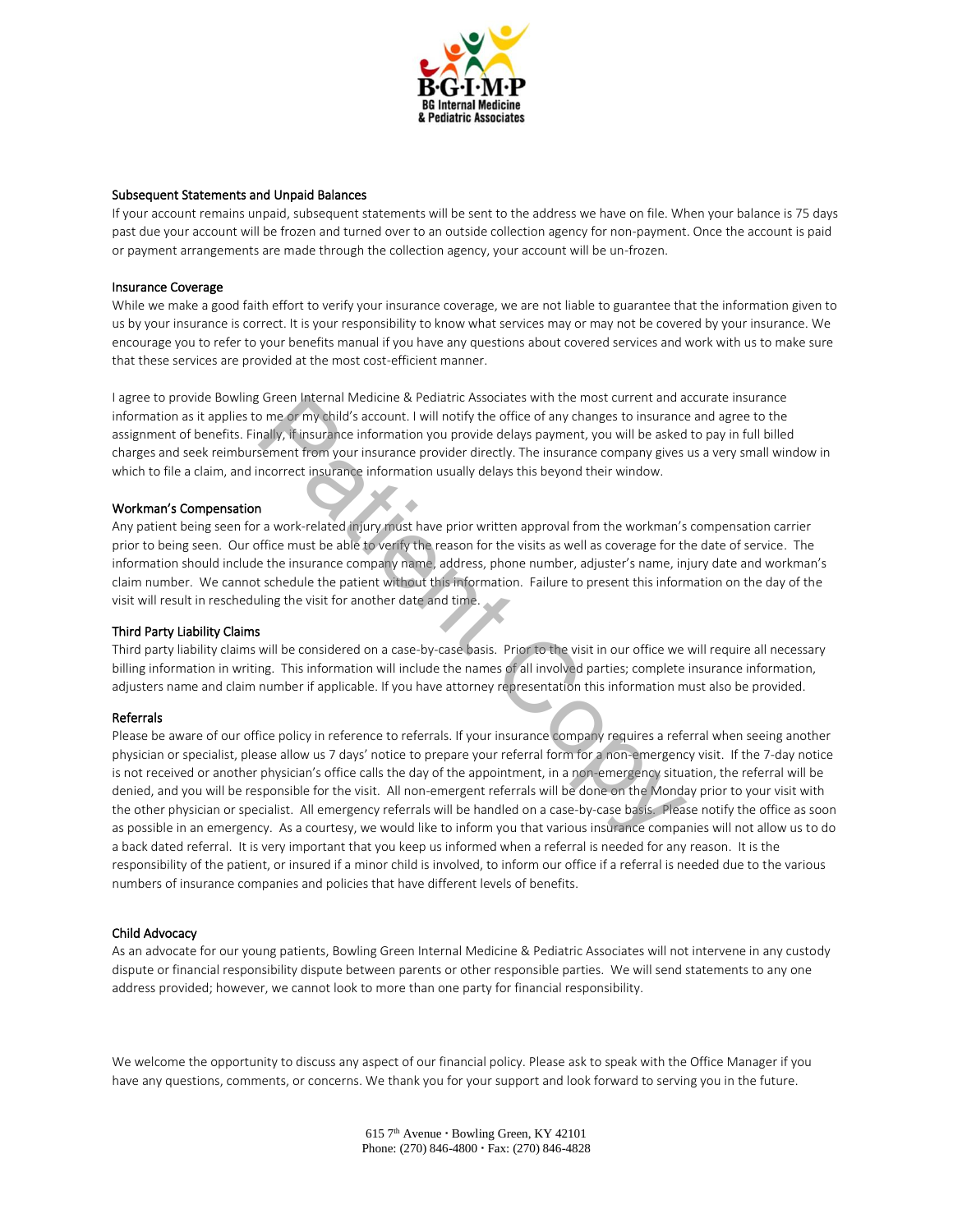

#### Subsequent Statements and Unpaid Balances

If your account remains unpaid, subsequent statements will be sent to the address we have on file. When your balance is 75 days past due your account will be frozen and turned over to an outside collection agency for non-payment. Once the account is paid or payment arrangements are made through the collection agency, your account will be un-frozen.

#### Insurance Coverage

While we make a good faith effort to verify your insurance coverage, we are not liable to guarantee that the information given to us by your insurance is correct. It is your responsibility to know what services may or may not be covered by your insurance. We encourage you to refer to your benefits manual if you have any questions about covered services and work with us to make sure that these services are provided at the most cost-efficient manner.

I agree to provide Bowling Green Internal Medicine & Pediatric Associates with the most current and accurate insurance information as it applies to me or my child's account. I will notify the office of any changes to insurance and agree to the assignment of benefits. Finally, if insurance information you provide delays payment, you will be asked to pay in full billed charges and seek reimbursement from your insurance provider directly. The insurance company gives us a very small window in which to file a claim, and incorrect insurance information usually delays this beyond their window.

#### Workman's Compensation

Any patient being seen for a work-related injury must have prior written approval from the workman's compensation carrier prior to being seen. Our office must be able to verify the reason for the visits as well as coverage for the date of service. The information should include the insurance company name, address, phone number, adjuster's name, injury date and workman's claim number. We cannot schedule the patient without this information. Failure to present this information on the day of the visit will result in rescheduling the visit for another date and time.

#### Third Party Liability Claims

Third party liability claims will be considered on a case-by-case basis. Prior to the visit in our office we will require all necessary billing information in writing. This information will include the names of all involved parties; complete insurance information, adjusters name and claim number if applicable. If you have attorney representation this information must also be provided.

#### Referrals

Please be aware of our office policy in reference to referrals. If your insurance company requires a referral when seeing another physician or specialist, please allow us 7 days' notice to prepare your referral form for a non-emergency visit. If the 7-day notice is not received or another physician's office calls the day of the appointment, in a non-emergency situation, the referral will be denied, and you will be responsible for the visit. All non-emergent referrals will be done on the Monday prior to your visit with the other physician or specialist. All emergency referrals will be handled on a case-by-case basis. Please notify the office as soon as possible in an emergency. As a courtesy, we would like to inform you that various insurance companies will not allow us to do a back dated referral. It is very important that you keep us informed when a referral is needed for any reason. It is the responsibility of the patient, or insured if a minor child is involved, to inform our office if a referral is needed due to the various numbers of insurance companies and policies that have different levels of benefits. Creen Internal Iwearchie & reenatric Associates wint in en most current and a<br>or me of my bild's account. I will notify the office of any changes to insurance<br>analy, it insurance information you provide delays payment, you

#### Child Advocacy

As an advocate for our young patients, Bowling Green Internal Medicine & Pediatric Associates will not intervene in any custody dispute or financial responsibility dispute between parents or other responsible parties. We will send statements to any one address provided; however, we cannot look to more than one party for financial responsibility.

We welcome the opportunity to discuss any aspect of our financial policy. Please ask to speak with the Office Manager if you have any questions, comments, or concerns. We thank you for your support and look forward to serving you in the future.

> $615$  7<sup>th</sup> Avenue  $\cdot$  Bowling Green, KY 42101 Phone: (270) 846-4800 Fax: (270) 846-4828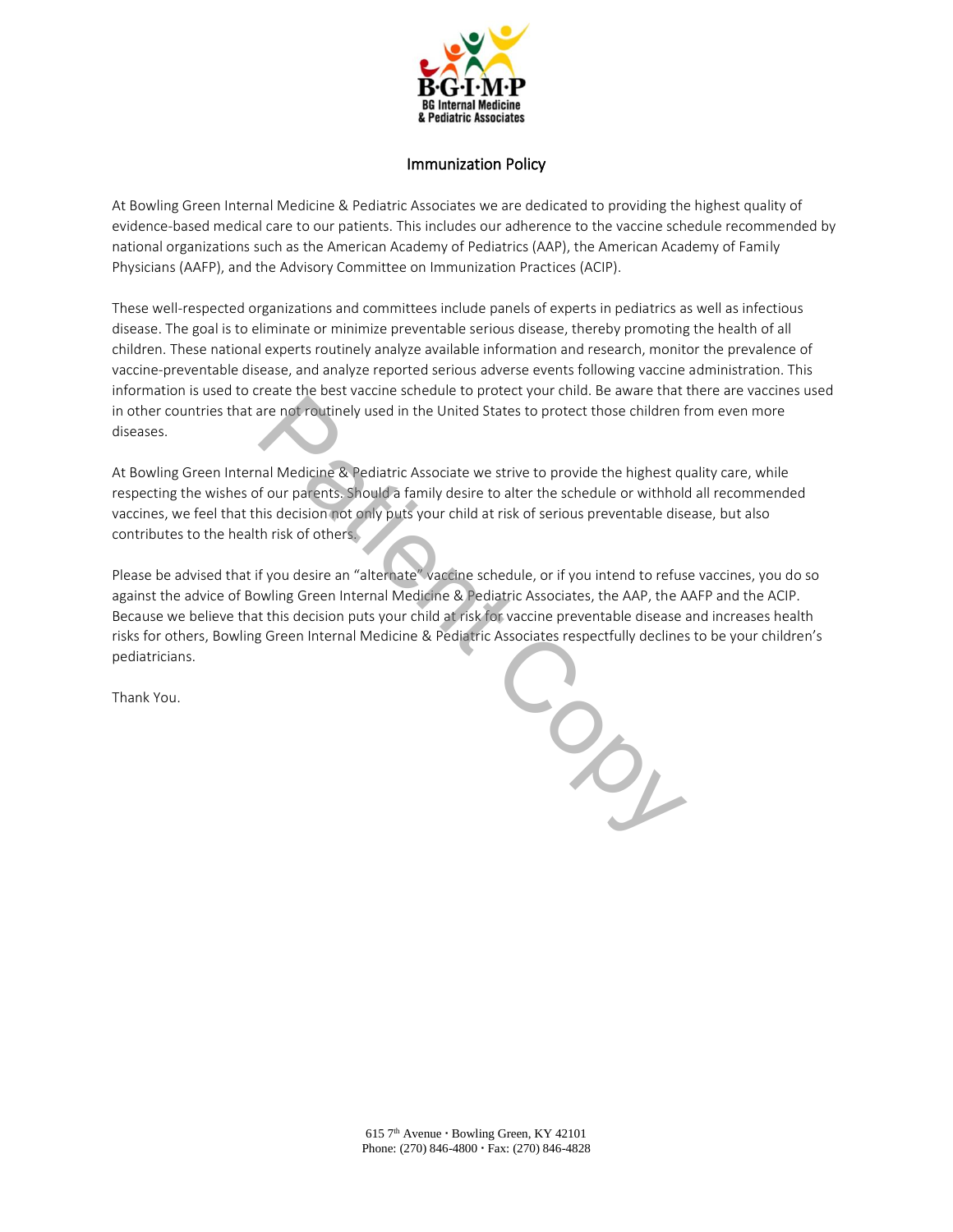

### Immunization Policy

At Bowling Green Internal Medicine & Pediatric Associates we are dedicated to providing the highest quality of evidence-based medical care to our patients. This includes our adherence to the vaccine schedule recommended by national organizations such as the American Academy of Pediatrics (AAP), the American Academy of Family Physicians (AAFP), and the Advisory Committee on Immunization Practices (ACIP).

These well-respected organizations and committees include panels of experts in pediatrics as well as infectious disease. The goal is to eliminate or minimize preventable serious disease, thereby promoting the health of all children. These national experts routinely analyze available information and research, monitor the prevalence of vaccine-preventable disease, and analyze reported serious adverse events following vaccine administration. This information is used to create the best vaccine schedule to protect your child. Be aware that there are vaccines used in other countries that are not routinely used in the United States to protect those children from even more diseases.

At Bowling Green Internal Medicine & Pediatric Associate we strive to provide the highest quality care, while respecting the wishes of our parents. Should a family desire to alter the schedule or withhold all recommended vaccines, we feel that this decision not only puts your child at risk of serious preventable disease, but also contributes to the health risk of others.

Please be advised that if you desire an "alternate" vaccine schedule, or if you intend to refuse vaccines, you do so against the advice of Bowling Green Internal Medicine & Pediatric Associates, the AAP, the AAFP and the ACIP. Because we believe that this decision puts your child at risk for vaccine preventable disease and increases health risks for others, Bowling Green Internal Medicine & Pediatric Associates respectfully declines to be your children's pediatricians.

Thank You.

Patient Copy